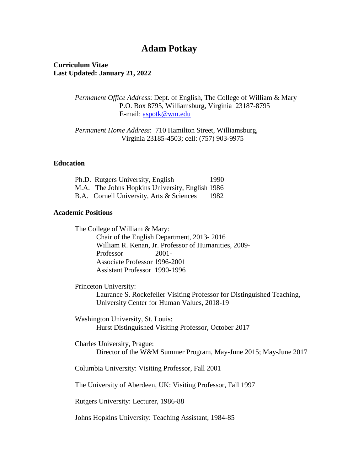# **Adam Potkay**

# **Curriculum Vitae Last Updated: January 21, 2022**

*Permanent Office Address*: Dept. of English, The College of William & Mary P.O. Box 8795, Williamsburg, Virginia 23187-8795 E-mail: [aspotk@wm.edu](mailto:aspotk@wm.edu)

*Permanent Home Address*: 710 Hamilton Street, Williamsburg, Virginia 23185-4503; cell: (757) 903-9975

# **Education**

| Ph.D. Rutgers University, English               | 1990 |
|-------------------------------------------------|------|
| M.A. The Johns Hopkins University, English 1986 |      |
| B.A. Cornell University, Arts & Sciences        | 1982 |

# **Academic Positions**

The College of William & Mary: Chair of the English Department, 2013- 2016 William R. Kenan, Jr. Professor of Humanities, 2009- Professor 2001- Associate Professor 1996-2001 Assistant Professor 1990-1996

Princeton University: Laurance S. Rockefeller Visiting Professor for Distinguished Teaching, University Center for Human Values, 2018-19

Washington University, St. Louis: Hurst Distinguished Visiting Professor, October 2017

Charles University, Prague: Director of the W&M Summer Program, May-June 2015; May-June 2017

Columbia University: Visiting Professor, Fall 2001

The University of Aberdeen, UK: Visiting Professor, Fall 1997

Rutgers University: Lecturer, 1986-88

Johns Hopkins University: Teaching Assistant, 1984-85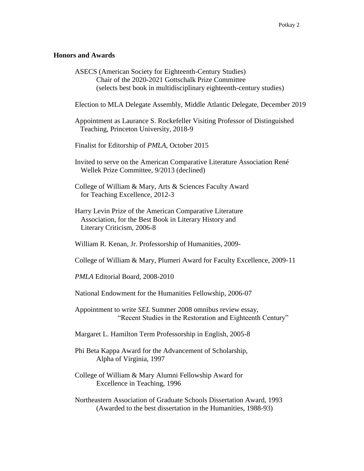#### **Honors and Awards**

ASECS (American Society for Eighteenth-Century Studies) Chair of the 2020-2021 Gottschalk Prize Committee (selects best book in multidisciplinary eighteenth-century studies)

Election to MLA Delegate Assembly, Middle Atlantic Delegate, December 2019

Appointment as Laurance S. Rockefeller Visiting Professor of Distinguished Teaching, Princeton University, 2018-9

Finalist for Editorship of *PMLA*, October 2015

Invited to serve on the American Comparative Literature Association René Wellek Prize Committee, 9/2013 (declined)

College of William & Mary, Arts & Sciences Faculty Award for Teaching Excellence, 2012-3

Harry Levin Prize of the American Comparative Literature Association, for the Best Book in Literary History and Literary Criticism, 2006-8

William R. Kenan, Jr. Professorship of Humanities, 2009-

College of William & Mary, Plumeri Award for Faculty Excellence, 2009-11

*PMLA* Editorial Board, 2008-2010

National Endowment for the Humanities Fellowship, 2006-07

Appointment to write *SEL* Summer 2008 omnibus review essay, "Recent Studies in the Restoration and Eighteenth Century"

Margaret L. Hamilton Term Professorship in English, 2005-8

Phi Beta Kappa Award for the Advancement of Scholarship, Alpha of Virginia, 1997

College of William & Mary Alumni Fellowship Award for Excellence in Teaching, 1996

Northeastern Association of Graduate Schools Dissertation Award, 1993 (Awarded to the best dissertation in the Humanities, 1988-93)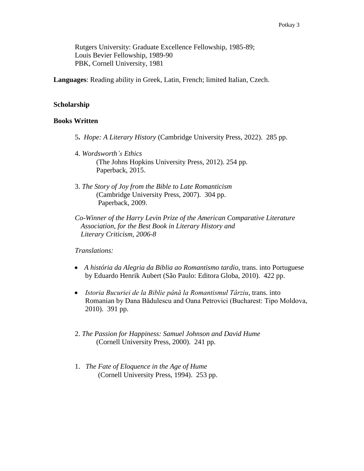Rutgers University: Graduate Excellence Fellowship, 1985-89; Louis Bevier Fellowship, 1989-90 PBK, Cornell University, 1981

**Languages**: Reading ability in Greek, Latin, French; limited Italian, Czech.

# **Scholarship**

# **Books Written**

- 5**.** *Hope: A Literary History* (Cambridge University Press, 2022). 285 pp.
- 4. *Wordsworth's Ethics*  (The Johns Hopkins University Press, 2012). 254 pp. Paperback, 2015.
- 3. *The Story of Joy from the Bible to Late Romanticism* (Cambridge University Press, 2007). 304 pp. Paperback, 2009.
- *Co-Winner of the Harry Levin Prize of the American Comparative Literature Association*, *for the Best Book in Literary History and Literary Criticism, 2006-8*

# *Translations:*

- *A história da Alegria da Biblia ao Romantismo tardio*, trans. into Portuguese by Eduardo Henrik Aubert (São Paulo: Editora Globa, 2010). 422 pp.
- *Istoria Bucuriei de la Biblie până la Romantismul Târziu*, trans. into Romanian by Dana Bădulescu and Oana Petrovici (Bucharest: Tipo Moldova, 2010). 391 pp.
- 2. *The Passion for Happiness: Samuel Johnson and David Hume*  (Cornell University Press, 2000). 241 pp.
- 1. *The Fate of Eloquence in the Age of Hume*  (Cornell University Press, 1994). 253 pp.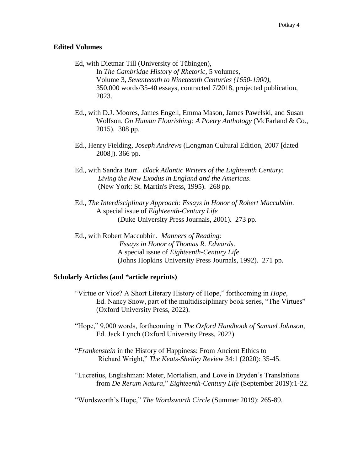### **Edited Volumes**

Ed, with Dietmar Till (University of Tübingen), In *The Cambridge History of Rhetoric*, 5 volumes, Volume 3, *Seventeenth to Nineteenth Centuries (1650-1900)*, 350,000 words/35-40 essays, contracted 7/2018, projected publication, 2023.

- Ed., with D.J. Moores, James Engell, Emma Mason, James Pawelski, and Susan Wolfson. *On Human Flourishing: A Poetry Anthology* (McFarland & Co., 2015). 308 pp.
- Ed., Henry Fielding, *Joseph Andrews* (Longman Cultural Edition, 2007 [dated 2008]). 366 pp.
- Ed., with Sandra Burr. *Black Atlantic Writers of the Eighteenth Century: Living the New Exodus in England and the Americas*. (New York: St. Martin's Press, 1995). 268 pp.
- Ed., *The Interdisciplinary Approach: Essays in Honor of Robert Maccubbin*. A special issue of *Eighteenth-Century Life* (Duke University Press Journals, 2001). 273 pp.
- Ed., with Robert Maccubbin. *Manners of Reading: Essays in Honor of Thomas R. Edwards*. A special issue of *Eighteenth-Century Life* (Johns Hopkins University Press Journals, 1992). 271 pp.

### **Scholarly Articles (and \*article reprints)**

- "Virtue or Vice? A Short Literary History of Hope," forthcoming in *Hope*, Ed. Nancy Snow, part of the multidisciplinary book series, "The Virtues" (Oxford University Press, 2022).
- "Hope," 9,000 words, forthcoming in *The Oxford Handbook of Samuel Johnson*, Ed. Jack Lynch (Oxford University Press, 2022).
- "*Frankenstein* in the History of Happiness: From Ancient Ethics to Richard Wright," *The Keats-Shelley Review* 34:1 (2020): 35-45.
- "Lucretius, Englishman: Meter, Mortalism, and Love in Dryden's Translations from *De Rerum Natura*," *Eighteenth-Century Life* (September 2019):1-22.

"Wordsworth's Hope," *The Wordsworth Circle* (Summer 2019): 265-89.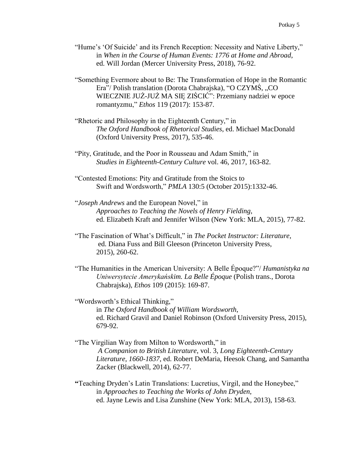- "Hume's 'Of Suicide' and its French Reception: Necessity and Native Liberty," in *When in the Course of Human Events: 1776 at Home and Abroad*, ed. Will Jordan (Mercer University Press, 2018), 76-92.
- "Something Evermore about to Be: The Transformation of Hope in the Romantic Era"/ Polish translation (Dorota Chabrajska), "O CZYMŚ, "CO WIECZNIE JUŻ-JUŻ MA SIĘ ZIŚCIĆ": Przemiany nadziei w epoce romantyzmu," *Ethos* 119 (2017): 153-87.
- "Rhetoric and Philosophy in the Eighteenth Century," in *The Oxford Handbook of Rhetorical Studies*, ed. Michael MacDonald (Oxford University Press, 2017), 535-46.
- "Pity, Gratitude, and the Poor in Rousseau and Adam Smith," in *Studies in Eighteenth-Century Culture* vol. 46, 2017, 163-82.
- "Contested Emotions: Pity and Gratitude from the Stoics to Swift and Wordsworth," *PMLA* 130:5 (October 2015):1332-46.
- "*Joseph Andrews* and the European Novel," in *Approaches to Teaching the Novels of Henry Fielding*, ed. Elizabeth Kraft and Jennifer Wilson (New York: MLA, 2015), 77-82.
- "The Fascination of What's Difficult," in *The Pocket Instructor: Literature*, ed. Diana Fuss and Bill Gleeson (Princeton University Press, 2015), 260-62.
- "The Humanities in the American University: A Belle Époque?"/ *Humanistyka na Uniwersytecie Amerykańskim. La Belle Époque* (Polish trans., Dorota Chabrajska), *Ethos* 109 (2015): 169-87.
- "Wordsworth's Ethical Thinking," in *The Oxford Handbook of William Wordsworth*, ed. Richard Gravil and Daniel Robinson (Oxford University Press, 2015), 679-92.
- "The Virgilian Way from Milton to Wordsworth," in *A Companion to British Literature*, vol. 3, *Long Eighteenth-Century Literature, 1660-1837*, ed. Robert DeMaria, Heesok Chang, and Samantha Zacker (Blackwell, 2014), 62-77.
- **"**Teaching Dryden's Latin Translations: Lucretius, Virgil, and the Honeybee," in *Approaches to Teaching the Works of John Dryden*, ed. Jayne Lewis and Lisa Zunshine (New York: MLA, 2013), 158-63.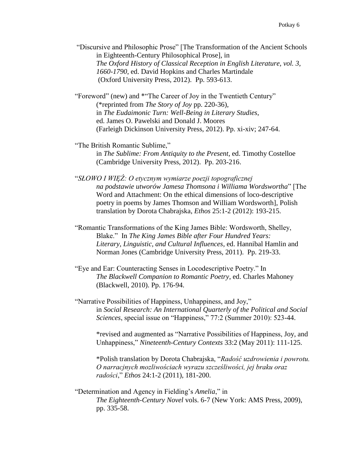"Discursive and Philosophic Prose" [The Transformation of the Ancient Schools in Eighteenth-Century Philosophical Prose], in *The Oxford History of Classical Reception in English Literature, vol. 3, 1660-1790*, ed. David Hopkins and Charles Martindale (Oxford University Press, 2012). Pp. 593-613.

"Foreword" (new) and \*"The Career of Joy in the Twentieth Century" (\*reprinted from *The Story of Joy* pp. 220-36), in *The Eudaimonic Turn: Well-Being in Literary Studies*, ed. James O. Pawelski and Donald J. Moores (Farleigh Dickinson University Press, 2012). Pp. xi-xiv; 247-64.

"The British Romantic Sublime,"

in *The Sublime: From Antiquity to the Present*, ed. Timothy Costelloe (Cambridge University Press, 2012). Pp. 203-216.

"*SŁOWO I WIĘŹ: O etycznym wymiarze poezji topograficznej na podstawie utworów Jamesa Thomsona i Williama Wordswortha*" [The Word and Attachment: On the ethical dimensions of loco-descriptive poetry in poems by James Thomson and William Wordsworth], Polish translation by Dorota Chabrajska, *Ethos* 25:1-2 (2012): 193-215.

"Romantic Transformations of the King James Bible: Wordsworth, Shelley, Blake." In *The King James Bible after Four Hundred Years: Literary, Linguistic, and Cultural Influences*, ed. Hannibal Hamlin and Norman Jones (Cambridge University Press, 2011). Pp. 219-33.

"Narrative Possibilities of Happiness, Unhappiness, and Joy," in *Social Research: An International Quarterly of the Political and Social Sciences*, special issue on "Happiness," 77:2 (Summer 2010): 523-44.

\*revised and augmented as "Narrative Possibilities of Happiness, Joy, and Unhappiness," *Nineteenth-Century Contexts* 33:2 (May 2011): 111-125.

\*Polish translation by Dorota Chabrajska, "*Radość uzdrowienia i powrotu. O narracjnych mozliwościach wyrazu szcześliwości, jej braku oraz radości*," *Ethos* 24:1-2 (2011), 181-200.

"Determination and Agency in Fielding's *Amelia*," in *The Eighteenth-Century Novel* vols. 6-7 (New York: AMS Press, 2009), pp. 335-58.

<sup>&</sup>quot;Eye and Ear: Counteracting Senses in Locodescriptive Poetry." In *The Blackwell Companion to Romantic Poetry*, ed. Charles Mahoney (Blackwell, 2010). Pp. 176-94.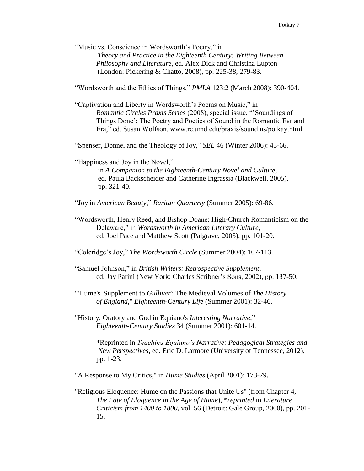"Music vs. Conscience in Wordsworth's Poetry," in *Theory and Practice in the Eighteenth Century: Writing Between Philosophy and Literature*, ed. Alex Dick and Christina Lupton (London: Pickering & Chatto, 2008), pp. 225-38, 279-83.

"Wordsworth and the Ethics of Things," *PMLA* 123:2 (March 2008): 390-404.

"Captivation and Liberty in Wordsworth's Poems on Music," in *Romantic Circles Praxis Series* (2008), special issue, "'Soundings of Things Done': The Poetry and Poetics of Sound in the Romantic Ear and Era," ed. Susan Wolfson. www.rc.umd.edu/praxis/sound.ns/potkay.html

"Spenser, Donne, and the Theology of Joy," *SEL* 46 (Winter 2006): 43-66.

"Happiness and Joy in the Novel,"

in *A Companion to the Eighteenth-Century Novel and Culture*, ed. Paula Backscheider and Catherine Ingrassia (Blackwell, 2005), pp. 321-40.

"Joy in *American Beauty*," *Raritan Quarterly* (Summer 2005): 69-86.

"Wordsworth, Henry Reed, and Bishop Doane: High-Church Romanticism on the Delaware," in *Wordsworth in American Literary Culture*, ed. Joel Pace and Matthew Scott (Palgrave, 2005), pp. 101-20.

"Coleridge's Joy," *The Wordsworth Circle* (Summer 2004): 107-113.

- "Samuel Johnson," in *British Writers: Retrospective Supplement*, ed. Jay Parini (New York: Charles Scribner's Sons, 2002), pp. 137-50.
- "'Hume's 'Supplement to *Gulliver*': The Medieval Volumes of *The History of England*," *Eighteenth-Century Life* (Summer 2001): 32-46.

"History, Oratory and God in Equiano's *Interesting Narrative*," *Eighteenth-Century Studies* 34 (Summer 2001): 601-14.

> *\**Reprinted in *Teaching Equiano's Narrative: Pedagogical Strategies and New Perspectives*, ed. Eric D. Larmore (University of Tennessee, 2012), pp. 1-23.

"A Response to My Critics," in *Hume Studies* (April 2001): 173-79.

"Religious Eloquence: Hume on the Passions that Unite Us" (from Chapter 4, *The Fate of Eloquence in the Age of Hume*), \**reprinted* in *Literature Criticism from 1400 to 1800*, vol. 56 (Detroit: Gale Group, 2000), pp. 201- 15.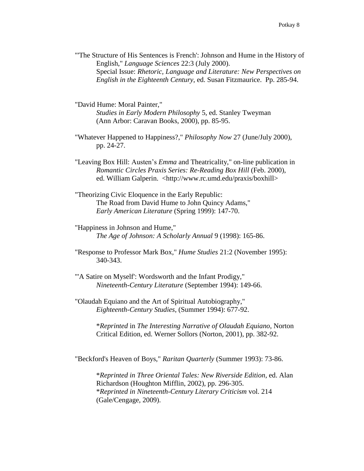- "'The Structure of His Sentences is French': Johnson and Hume in the History of English," *Language Sciences* 22:3 (July 2000). Special Issue: *Rhetoric, Language and Literature: New Perspectives on English in the Eighteenth Century*, ed. Susan Fitzmaurice. Pp. 285-94.
- "David Hume: Moral Painter," *Studies in Early Modern Philosophy* 5, ed. Stanley Tweyman (Ann Arbor: Caravan Books, 2000), pp. 85-95.
- "Whatever Happened to Happiness?," *Philosophy Now* 27 (June/July 2000), pp. 24-27.
- "Leaving Box Hill: Austen's *Emma* and Theatricality," on-line publication in *Romantic Circles Praxis Series: Re-Reading Box Hill* (Feb. 2000), ed. William Galperin. <http://www.rc.umd.edu/praxis/boxhill>
- "Theorizing Civic Eloquence in the Early Republic: The Road from David Hume to John Quincy Adams," *Early American Literature* (Spring 1999): 147-70.
- "Happiness in Johnson and Hume," *The Age of Johnson: A Scholarly Annual* 9 (1998): 165-86.
- "Response to Professor Mark Box," *Hume Studies* 21:2 (November 1995): 340-343.
- "'A Satire on Myself': Wordsworth and the Infant Prodigy," *Nineteenth-Century Literature* (September 1994): 149-66.
- "Olaudah Equiano and the Art of Spiritual Autobiography," *Eighteenth-Century Studies*, (Summer 1994): 677-92.
	- \**Reprinted* in *The Interesting Narrative of Olaudah Equiano*, Norton Critical Edition, ed. Werner Sollors (Norton, 2001), pp. 382-92.

"Beckford's Heaven of Boys," *Raritan Quarterly* (Summer 1993): 73-86.

\**Reprinted in Three Oriental Tales: New Riverside Edition*, ed. Alan Richardson (Houghton Mifflin, 2002), pp. 296-305. \**Reprinted in Nineteenth-Century Literary Criticism* vol. 214 (Gale/Cengage, 2009).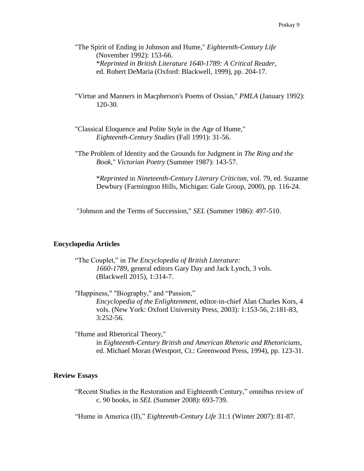"The Spirit of Ending in Johnson and Hume," *Eighteenth-Century Life* (November 1992): 153-66. \**Reprinted in British Literature 1640-1789: A Critical Reader*, ed. Robert DeMaria (Oxford: Blackwell, 1999), pp. 204-17.

"Virtue and Manners in Macpherson's Poems of Ossian," *PMLA* (January 1992): 120-30.

"Classical Eloquence and Polite Style in the Age of Hume," *Eighteenth-Century Studies* (Fall 1991): 31-56.

"The Problem of Identity and the Grounds for Judgment in *The Ring and the Book*," *Victorian Poetry* (Summer 1987): 143-57.

\**Reprinted* in *Nineteenth-Century Literary Criticism*, vol. 79, ed. Suzanne Dewbury (Farmington Hills, Michigan: Gale Group, 2000), pp. 116-24.

"Johnson and the Terms of Succession," *SEL* (Summer 1986): 497-510.

#### **Encyclopedia Articles**

- "The Couplet," in *The Encyclopedia of British Literature: 1660-1789*, general editors Gary Day and Jack Lynch, 3 vols. (Blackwell 2015), 1:314-7.
- "Happiness," "Biography," and "Passion," *Encyclopedia of the Enlightenment*, editor-in-chief Alan Charles Kors, 4 vols. (New York: Oxford University Press, 2003): 1:153-56, 2:181-83, 3:252-56.
- "Hume and Rhetorical Theory," in *Eighteenth-Century British and American Rhetoric and Rhetoricians*, ed. Michael Moran (Westport, Ct.: Greenwood Press, 1994), pp. 123-31.

#### **Review Essays**

"Recent Studies in the Restoration and Eighteenth Century," omnibus review of c. 90 books, in *SEL* (Summer 2008): 693-739.

"Hume in America (II)," *Eighteenth-Century Life* 31:1 (Winter 2007): 81-87.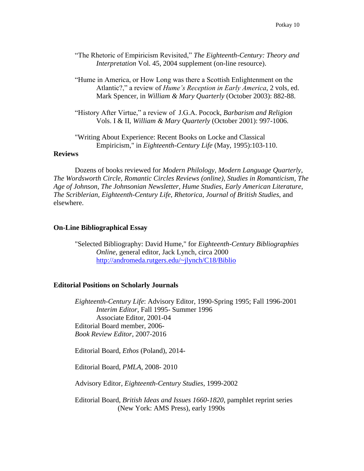- "The Rhetoric of Empiricism Revisited," *The Eighteenth-Century: Theory and Interpretation* Vol. 45, 2004 supplement (on-line resource).
- "Hume in America, or How Long was there a Scottish Enlightenment on the Atlantic?," a review of *Hume's Reception in Early America*, 2 vols, ed. Mark Spencer, in *William & Mary Quarterly* (October 2003): 882-88.

"History After Virtue," a review of J.G.A. Pocock, *Barbarism and Religion* Vols. I & II, *William & Mary Quarterly* (October 2001): 997-1006.

"Writing About Experience: Recent Books on Locke and Classical Empiricism," in *Eighteenth-Century Life* (May, 1995):103-110.

# **Reviews**

Dozens of books reviewed for *Modern Philology, Modern Language Quarterly, The Wordsworth Circle, Romantic Circles Reviews (online), Studies in Romanticism, The Age of Johnson, The Johnsonian Newsletter, Hume Studies, Early American Literature, The Scriblerian, Eighteenth-Century Life*, *Rhetorica*, *Journal of British Studies*, and elsewhere.

#### **On-Line Bibliographical Essay**

"Selected Bibliography: David Hume," for *Eighteenth-Century Bibliographies Online,* general editor, Jack Lynch, circa 2000 <http://andromeda.rutgers.edu/~jlynch/C18/Biblio>

#### **Editorial Positions on Scholarly Journals**

*Eighteenth-Century Life*: Advisory Editor, 1990-Spring 1995; Fall 1996-2001 *Interim Editor*, Fall 1995- Summer 1996 Associate Editor, 2001-04 Editorial Board member, 2006- *Book Review Editor*, 2007-2016

Editorial Board, *Ethos* (Poland), 2014-

Editorial Board, *PMLA*, 2008- 2010

Advisory Editor, *Eighteenth-Century Studies*, 1999-2002

Editorial Board, *British Ideas and Issues 1660-1820*, pamphlet reprint series (New York: AMS Press), early 1990s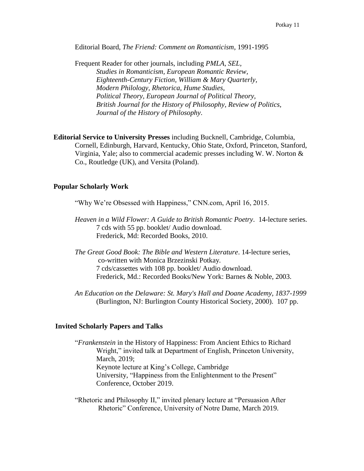Editorial Board, *The Friend: Comment on Romanticism*, 1991-1995

Frequent Reader for other journals, including *PMLA, SEL, Studies in Romanticism, European Romantic Review, Eighteenth-Century Fiction, William & Mary Quarterly, Modern Philology, Rhetorica, Hume Studies, Political Theory, European Journal of Political Theory, British Journal for the History of Philosophy, Review of Politics, Journal of the History of Philosophy*.

**Editorial Service to University Presses** including Bucknell, Cambridge, Columbia, Cornell, Edinburgh, Harvard, Kentucky, Ohio State, Oxford, Princeton, Stanford, Virginia, Yale; also to commercial academic presses including W. W. Norton & Co., Routledge (UK), and Versita (Poland).

### **Popular Scholarly Work**

"Why We're Obsessed with Happiness," CNN.com, April 16, 2015.

- *Heaven in a Wild Flower: A Guide to British Romantic Poetry*. 14-lecture series. 7 cds with 55 pp. booklet/ Audio download. Frederick, Md: Recorded Books, 2010.
- *The Great Good Book: The Bible and Western Literature*. 14-lecture series, co-written with Monica Brzezinski Potkay. 7 cds/cassettes with 108 pp. booklet/ Audio download. Frederick, Md.: Recorded Books/New York: Barnes & Noble, 2003.
- *An Education on the Delaware: St. Mary's Hall and Doane Academy, 1837-1999* (Burlington, NJ: Burlington County Historical Society, 2000). 107 pp.

#### **Invited Scholarly Papers and Talks**

"*Frankenstein* in the History of Happiness: From Ancient Ethics to Richard Wright," invited talk at Department of English, Princeton University, March, 2019; Keynote lecture at King's College, Cambridge University, "Happiness from the Enlightenment to the Present" Conference, October 2019.

"Rhetoric and Philosophy II," invited plenary lecture at "Persuasion After Rhetoric" Conference, University of Notre Dame, March 2019.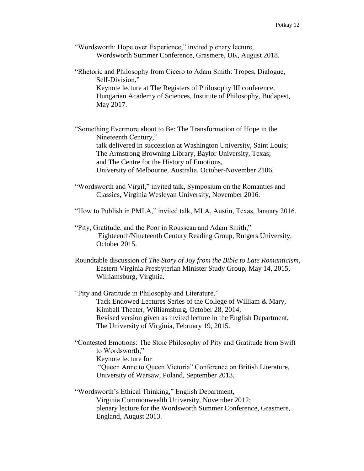| "Wordsworth: Hope over Experience," invited plenary lecture, |
|--------------------------------------------------------------|
| Wordsworth Summer Conference, Grasmere, UK, August 2018.     |

"Rhetoric and Philosophy from Cicero to Adam Smith: Tropes, Dialogue, Self-Division," Keynote lecture at The Registers of Philosophy III conference, Hungarian Academy of Sciences, Institute of Philosophy, Budapest,

May 2017.

"Something Evermore about to Be: The Transformation of Hope in the Nineteenth Century," talk delivered in succession at Washington University, Saint Louis; The Armstrong Browning Library, Baylor University, Texas; and The Centre for the History of Emotions, University of Melbourne, Australia, October-November 2106.

"Wordsworth and Virgil," invited talk, Symposium on the Romantics and Classics, Virginia Wesleyan University, November 2016.

"How to Publish in PMLA," invited talk, MLA, Austin, Texas, January 2016.

- "Pity, Gratitude, and the Poor in Rousseau and Adam Smith," Eighteenth/Nineteenth Century Reading Group, Rutgers University, October 2015.
- Roundtable discussion of *The Story of Joy from the Bible to Late Romanticism*, Eastern Virginia Presbyterian Minister Study Group, May 14, 2015, Williamsburg, Virginia.

"Pity and Gratitude in Philosophy and Literature," Tack Endowed Lectures Series of the College of William & Mary, Kimball Theater, Williamsburg, October 28, 2014; Revised version given as invited lecture in the English Department, The University of Virginia, February 19, 2015.

"Contested Emotions: The Stoic Philosophy of Pity and Gratitude from Swift to Wordsworth," Keynote lecture for "Queen Anne to Queen Victoria" Conference on British Literature,

University of Warsaw, Poland, September 2013.

"Wordsworth's Ethical Thinking," English Department, Virginia Commonwealth University, November 2012; plenary lecture for the Wordsworth Summer Conference, Grasmere, England, August 2013.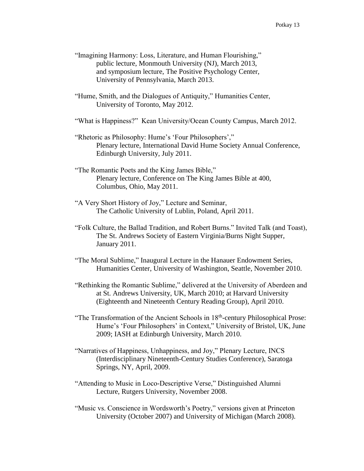- "Imagining Harmony: Loss, Literature, and Human Flourishing," public lecture, Monmouth University (NJ), March 2013, and symposium lecture, The Positive Psychology Center, University of Pennsylvania, March 2013.
- "Hume, Smith, and the Dialogues of Antiquity," Humanities Center, University of Toronto, May 2012.
- "What is Happiness?" Kean University/Ocean County Campus, March 2012.
- "Rhetoric as Philosophy: Hume's 'Four Philosophers'," Plenary lecture, International David Hume Society Annual Conference, Edinburgh University, July 2011.
- "The Romantic Poets and the King James Bible," Plenary lecture, Conference on The King James Bible at 400, Columbus, Ohio, May 2011.
- "A Very Short History of Joy," Lecture and Seminar, The Catholic University of Lublin, Poland, April 2011.
- "Folk Culture, the Ballad Tradition, and Robert Burns." Invited Talk (and Toast), The St. Andrews Society of Eastern Virginia/Burns Night Supper, January 2011.
- "The Moral Sublime," Inaugural Lecture in the Hanauer Endowment Series, Humanities Center, University of Washington, Seattle, November 2010.
- "Rethinking the Romantic Sublime," delivered at the University of Aberdeen and at St. Andrews University, UK, March 2010; at Harvard University (Eighteenth and Nineteenth Century Reading Group), April 2010.
- "The Transformation of the Ancient Schools in 18<sup>th</sup>-century Philosophical Prose: Hume's 'Four Philosophers' in Context," University of Bristol, UK, June 2009; IASH at Edinburgh University, March 2010.
- "Narratives of Happiness, Unhappiness, and Joy," Plenary Lecture, INCS (Interdisciplinary Nineteenth-Century Studies Conference), Saratoga Springs, NY, April, 2009.
- "Attending to Music in Loco-Descriptive Verse," Distinguished Alumni Lecture, Rutgers University, November 2008.
- "Music vs. Conscience in Wordsworth's Poetry," versions given at Princeton University (October 2007) and University of Michigan (March 2008).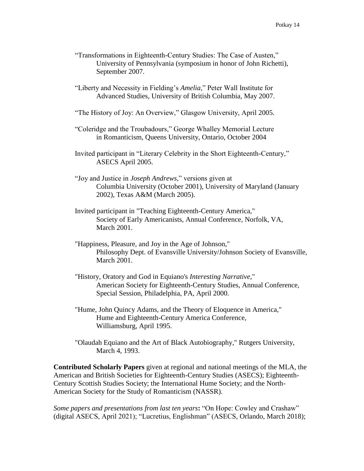- "Transformations in Eighteenth-Century Studies: The Case of Austen," University of Pennsylvania (symposium in honor of John Richetti), September 2007.
- "Liberty and Necessity in Fielding's *Amelia*," Peter Wall Institute for Advanced Studies, University of British Columbia, May 2007.
- "The History of Joy: An Overview," Glasgow University, April 2005.
- "Coleridge and the Troubadours," George Whalley Memorial Lecture in Romanticism, Queens University, Ontario, October 2004
- Invited participant in "Literary Celebrity in the Short Eighteenth-Century," ASECS April 2005.
- "Joy and Justice in *Joseph Andrews*," versions given at Columbia University (October 2001), University of Maryland (January 2002), Texas A&M (March 2005).
- Invited participant in "Teaching Eighteenth-Century America," Society of Early Americanists, Annual Conference, Norfolk, VA, March 2001.
- "Happiness, Pleasure, and Joy in the Age of Johnson," Philosophy Dept. of Evansville University/Johnson Society of Evansville, March 2001.
- "History, Oratory and God in Equiano's *Interesting Narrative*," American Society for Eighteenth-Century Studies, Annual Conference, Special Session, Philadelphia, PA, April 2000.
- "Hume, John Quincy Adams, and the Theory of Eloquence in America," Hume and Eighteenth-Century America Conference, Williamsburg, April 1995.
- "Olaudah Equiano and the Art of Black Autobiography," Rutgers University, March 4, 1993.

**Contributed Scholarly Papers** given at regional and national meetings of the MLA, the American and British Societies for Eighteenth-Century Studies (ASECS); Eighteenth-Century Scottish Studies Society; the International Hume Society; and the North-American Society for the Study of Romanticism (NASSR).

*Some papers and presentations from last ten years***:** "On Hope: Cowley and Crashaw" (digital ASECS, April 2021); "Lucretius, Englishman" (ASECS, Orlando, March 2018);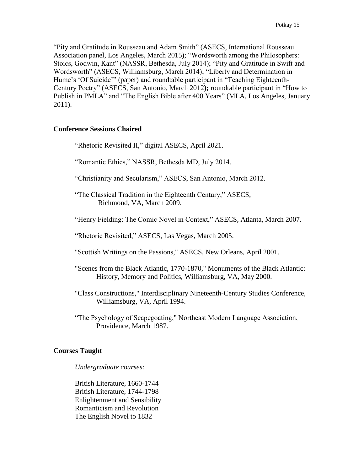"Pity and Gratitude in Rousseau and Adam Smith" (ASECS, International Rousseau Association panel, Los Angeles, March 2015); "Wordsworth among the Philosophers: Stoics, Godwin, Kant" (NASSR, Bethesda, July 2014); "Pity and Gratitude in Swift and Wordsworth" (ASECS, Williamsburg, March 2014); "Liberty and Determination in Hume's 'Of Suicide'" (paper) and roundtable participant in "Teaching Eighteenth-Century Poetry" (ASECS, San Antonio, March 2012**);** roundtable participant in "How to Publish in PMLA" and "The English Bible after 400 Years" (MLA, Los Angeles, January 2011).

# **Conference Sessions Chaired**

"Rhetoric Revisited II," digital ASECS, April 2021.

"Romantic Ethics," NASSR, Bethesda MD, July 2014.

"Christianity and Secularism," ASECS, San Antonio, March 2012.

"The Classical Tradition in the Eighteenth Century," ASECS, Richmond, VA, March 2009.

"Henry Fielding: The Comic Novel in Context," ASECS, Atlanta, March 2007.

"Rhetoric Revisited," ASECS, Las Vegas, March 2005.

"Scottish Writings on the Passions," ASECS, New Orleans, April 2001.

- "Scenes from the Black Atlantic, 1770-1870," Monuments of the Black Atlantic: History, Memory and Politics, Williamsburg, VA, May 2000.
- "Class Constructions," Interdisciplinary Nineteenth-Century Studies Conference, Williamsburg, VA, April 1994.
- "The Psychology of Scapegoating," Northeast Modern Language Association, Providence, March 1987.

### **Courses Taught**

*Undergraduate courses*:

British Literature, 1660-1744 British Literature, 1744-1798 Enlightenment and Sensibility Romanticism and Revolution The English Novel to 1832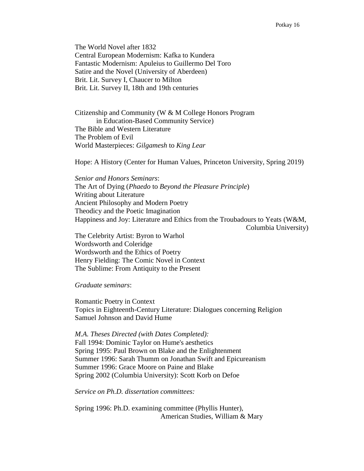The World Novel after 1832 Central European Modernism: Kafka to Kundera Fantastic Modernism: Apuleius to Guillermo Del Toro Satire and the Novel (University of Aberdeen) Brit. Lit. Survey I, Chaucer to Milton Brit. Lit. Survey II, 18th and 19th centuries

Citizenship and Community (W & M College Honors Program in Education-Based Community Service) The Bible and Western Literature The Problem of Evil World Masterpieces: *Gilgamesh* to *King Lear*

Hope: A History (Center for Human Values, Princeton University, Spring 2019)

*Senior and Honors Seminars*: The Art of Dying (*Phaedo* to *Beyond the Pleasure Principle*) Writing about Literature Ancient Philosophy and Modern Poetry Theodicy and the Poetic Imagination Happiness and Joy: Literature and Ethics from the Troubadours to Yeats (W&M, Columbia University)

The Celebrity Artist: Byron to Warhol Wordsworth and Coleridge Wordsworth and the Ethics of Poetry Henry Fielding: The Comic Novel in Context The Sublime: From Antiquity to the Present

*Graduate seminars*:

Romantic Poetry in Context Topics in Eighteenth-Century Literature: Dialogues concerning Religion Samuel Johnson and David Hume

*M.A. Theses Directed (with Dates Completed):* Fall 1994: Dominic Taylor on Hume's aesthetics Spring 1995: Paul Brown on Blake and the Enlightenment Summer 1996: Sarah Thumm on Jonathan Swift and Epicureanism Summer 1996: Grace Moore on Paine and Blake Spring 2002 (Columbia University): Scott Korb on Defoe

*Service on Ph.D. dissertation committees:*

Spring 1996: Ph.D. examining committee (Phyllis Hunter), American Studies, William & Mary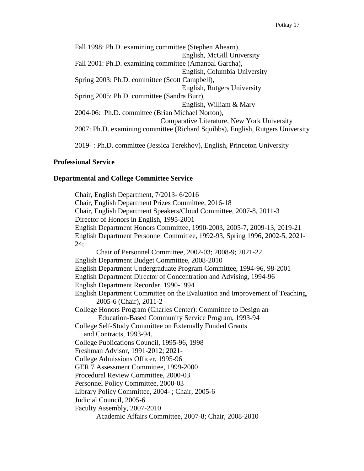Fall 1998: Ph.D. examining committee (Stephen Ahearn), English, McGill University Fall 2001: Ph.D. examining committee (Amanpal Garcha), English, Columbia University Spring 2003: Ph.D. committee (Scott Campbell), English, Rutgers University Spring 2005: Ph.D. committee (Sandra Burr), English, William & Mary 2004-06: Ph.D. committee (Brian Michael Norton), Comparative Literature, New York University 2007: Ph.D. examining committee (Richard Squibbs), English, Rutgers University

2019- : Ph.D. committee (Jessica Terekhov), English, Princeton University

### **Professional Service**

### **Departmental and College Committee Service**

Chair, English Department, 7/2013- 6/2016 Chair, English Department Prizes Committee, 2016-18 Chair, English Department Speakers/Cloud Committee, 2007-8, 2011-3 Director of Honors in English, 1995-2001 English Department Honors Committee, 1990-2003, 2005-7, 2009-13, 2019-21 English Department Personnel Committee, 1992-93, Spring 1996, 2002-5, 2021- 24; Chair of Personnel Committee, 2002-03; 2008-9; 2021-22 English Department Budget Committee, 2008-2010 English Department Undergraduate Program Committee, 1994-96, 98-2001 English Department Director of Concentration and Advising, 1994-96 English Department Recorder, 1990-1994 English Department Committee on the Evaluation and Improvement of Teaching, 2005-6 (Chair), 2011-2 College Honors Program (Charles Center): Committee to Design an Education-Based Community Service Program, 1993-94 College Self-Study Committee on Externally Funded Grants and Contracts, 1993-94. College Publications Council, 1995-96, 1998 Freshman Advisor, 1991-2012; 2021- College Admissions Officer, 1995-96 GER 7 Assessment Committee, 1999-2000 Procedural Review Committee, 2000-03 Personnel Policy Committee, 2000-03 Library Policy Committee, 2004- ; Chair, 2005-6 Judicial Council, 2005-6 Faculty Assembly, 2007-2010 Academic Affairs Committee, 2007-8; Chair, 2008-2010